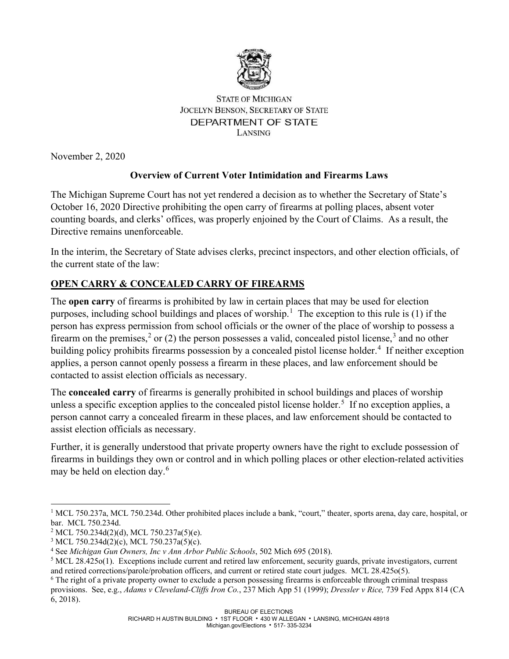

#### **STATE OF MICHIGAN JOCELYN BENSON, SECRETARY OF STATE** DEPARTMENT OF STATE **LANSING**

November 2, 2020

# **Overview of Current Voter Intimidation and Firearms Laws**

The Michigan Supreme Court has not yet rendered a decision as to whether the Secretary of State's October 16, 2020 Directive prohibiting the open carry of firearms at polling places, absent voter counting boards, and clerks' offices, was properly enjoined by the Court of Claims. As a result, the Directive remains unenforceable.

In the interim, the Secretary of State advises clerks, precinct inspectors, and other election officials, of the current state of the law:

# **OPEN CARRY & CONCEALED CARRY OF FIREARMS**

The **open carry** of firearms is prohibited by law in certain places that may be used for election purposes, including school buildings and places of worship. [1](#page-0-0) The exception to this rule is (1) if the person has express permission from school officials or the owner of the place of worship to possess a firearm on the premises,<sup>[2](#page-0-1)</sup> or (2) the person possesses a valid, concealed pistol license,<sup>[3](#page-0-2)</sup> and no other building policy prohibits firearms possession by a concealed pistol license holder.<sup>[4](#page-0-3)</sup> If neither exception applies, a person cannot openly possess a firearm in these places, and law enforcement should be contacted to assist election officials as necessary.

The **concealed carry** of firearms is generally prohibited in school buildings and places of worship unless a specific exception applies to the concealed pistol license holder.<sup>[5](#page-0-4)</sup> If no exception applies, a person cannot carry a concealed firearm in these places, and law enforcement should be contacted to assist election officials as necessary.

Further, it is generally understood that private property owners have the right to exclude possession of firearms in buildings they own or control and in which polling places or other election-related activities may be held on election day.<sup>[6](#page-0-5)</sup>

<span id="page-0-0"></span> $1 \text{ MCL } 750.237$ a, MCL 750.234d. Other prohibited places include a bank, "court," theater, sports arena, day care, hospital, or bar. MCL 750.234d.<br><sup>2</sup> MCL 750.234d(2)(d), MCL 750.237a(5)(e).

<span id="page-0-1"></span>

<span id="page-0-2"></span><sup>&</sup>lt;sup>3</sup> MCL 750.234d(2)(c), MCL 750.237a(5)(c).

<span id="page-0-3"></span><sup>4</sup> See *Michigan Gun Owners, Inc v Ann Arbor Public Schools*, 502 Mich 695 (2018).

<span id="page-0-4"></span> $5$  MCL 28.425o(1). Exceptions include current and retired law enforcement, security guards, private investigators, current and retired corrections/parole/probation officers, and current or retired state court judges. MCL 28.425o(5).

<span id="page-0-5"></span><sup>&</sup>lt;sup>6</sup> The right of a private property owner to exclude a person possessing firearms is enforceable through criminal trespass provisions. See, e.g., *Adams v Cleveland-Cliffs Iron Co.*, 237 Mich App 51 (1999); *Dressler v Rice,* 739 Fed Appx 814 (CA 6, 2018).